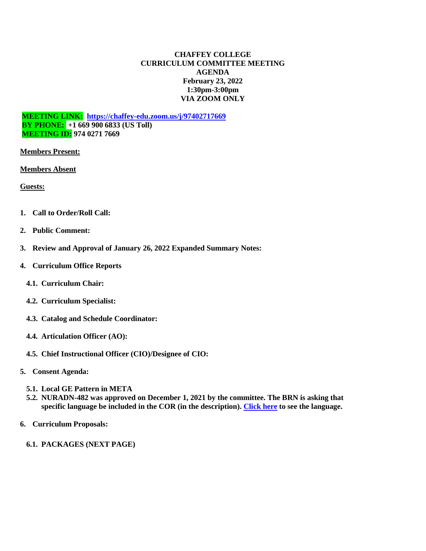# **CHAFFEY COLLEGE CURRICULUM COMMITTEE MEETING AGENDA February 23, 2022 1:30pm-3:00pm VIA ZOOM ONLY**

**MEETING LINK: <https://chaffey-edu.zoom.us/j/97402717669> BY PHONE: +1 669 900 6833 (US Toll) MEETING ID: 974 0271 7669**

**Members Present:**

**Members Absent**

**Guests:**

- **1. Call to Order/Roll Call:**
- **2. Public Comment:**
- **3. Review and Approval of January 26, 2022 Expanded Summary Notes:**
- **4. Curriculum Office Reports**
	- **4.1. Curriculum Chair:**
	- **4.2. Curriculum Specialist:**
	- **4.3. Catalog and Schedule Coordinator:**
	- **4.4. Articulation Officer (AO):**
	- **4.5. Chief Instructional Officer (CIO)/Designee of CIO:**
- **5. Consent Agenda:**
	- **5.1. Local GE Pattern in META**
	- **5.2. NURADN-482 was approved on December 1, 2021 by the committee. The BRN is asking that specific language be included in the COR (in the description). [Click here](https://chaffey.curriqunet.com/DynamicReports/AllFieldsReportByEntity/6723?entityType=Course&reportId=211) to see the language.**
- **6. Curriculum Proposals:**
	- **6.1. PACKAGES (NEXT PAGE)**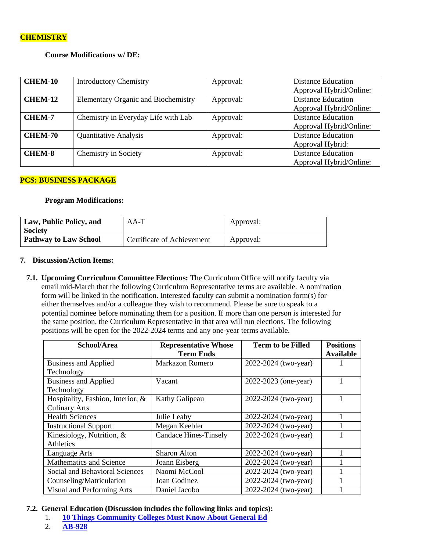# **CHEMISTRY**

# **Course Modifications w/ DE:**

| <b>CHEM-10</b> | <b>Introductory Chemistry</b>              | Approval: | <b>Distance Education</b><br>Approval Hybrid/Online: |
|----------------|--------------------------------------------|-----------|------------------------------------------------------|
| <b>CHEM-12</b> | <b>Elementary Organic and Biochemistry</b> | Approval: | <b>Distance Education</b><br>Approval Hybrid/Online: |
| <b>CHEM-7</b>  | Chemistry in Everyday Life with Lab        | Approval: | <b>Distance Education</b><br>Approval Hybrid/Online: |
| <b>CHEM-70</b> | Quantitative Analysis                      | Approval: | <b>Distance Education</b><br>Approval Hybrid:        |
| <b>CHEM-8</b>  | Chemistry in Society                       | Approval: | <b>Distance Education</b><br>Approval Hybrid/Online: |

# **PCS: BUSINESS PACKAGE**

#### **Program Modifications:**

| Law, Public Policy, and<br><b>Society</b> | AA-T                       | Approval: |
|-------------------------------------------|----------------------------|-----------|
| <b>Pathway to Law School</b>              | Certificate of Achievement | Approval: |

#### **7. Discussion/Action Items:**

**7.1. Upcoming Curriculum Committee Elections:** The Curriculum Office will notify faculty via email mid-March that the following Curriculum Representative terms are available. A nomination form will be linked in the notification. Interested faculty can submit a nomination form(s) for either themselves and/or a colleague they wish to recommend. Please be sure to speak to a potential nominee before nominating them for a position. If more than one person is interested for the same position, the Curriculum Representative in that area will run elections. The following positions will be open for the 2022-2024 terms and any one-year terms available.

| School/Area                       | <b>Representative Whose</b>  | <b>Term to be Filled</b> | <b>Positions</b> |
|-----------------------------------|------------------------------|--------------------------|------------------|
|                                   | <b>Term Ends</b>             |                          | <b>Available</b> |
| Business and Applied              | Markazon Romero              | 2022-2024 (two-year)     |                  |
| Technology                        |                              |                          |                  |
| <b>Business and Applied</b>       | Vacant                       | 2022-2023 (one-year)     |                  |
| Technology                        |                              |                          |                  |
| Hospitality, Fashion, Interior, & | Kathy Galipeau               | 2022-2024 (two-year)     |                  |
| <b>Culinary Arts</b>              |                              |                          |                  |
| <b>Health Sciences</b>            | Julie Leahy                  | 2022-2024 (two-year)     |                  |
| <b>Instructional Support</b>      | Megan Keebler                | 2022-2024 (two-year)     |                  |
| Kinesiology, Nutrition, &         | <b>Candace Hines-Tinsely</b> | 2022-2024 (two-year)     |                  |
| Athletics                         |                              |                          |                  |
| Language Arts                     | Sharon Alton                 | 2022-2024 (two-year)     |                  |
| Mathematics and Science           | Joann Eisberg                | 2022-2024 (two-year)     |                  |
| Social and Behavioral Sciences    | Naomi McCool                 | 2022-2024 (two-year)     |                  |
| Counseling/Matriculation          | Joan Godinez                 | 2022-2024 (two-year)     |                  |
| Visual and Performing Arts        | Daniel Jacobo                | 2022-2024 (two-year)     |                  |

#### **7.2. General Education (Discussion includes the following links and topics):**

- 1. **[10 Things Community Colleges Must Know About General Ed](https://www.insidehighered.com/views/2022/02/16/study-maps-state-gen-ed-community-colleges-opinion)**
- 2. **[AB-928](https://leginfo.legislature.ca.gov/faces/billTextClient.xhtml?bill_id=202120220AB928)**